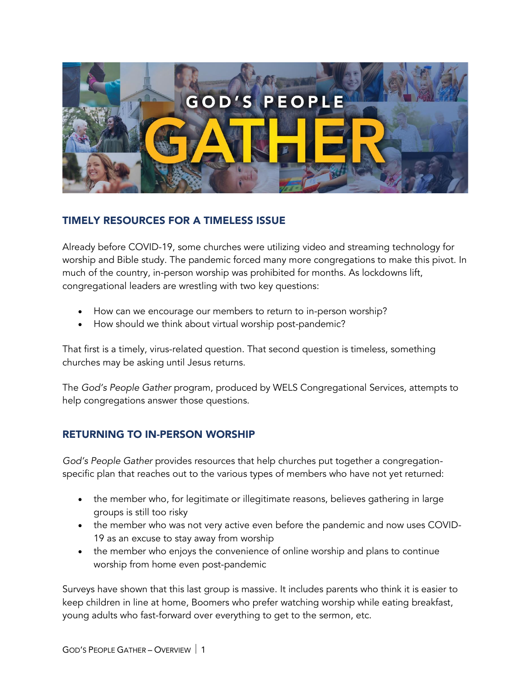

#### TIMELY RESOURCES FOR A TIMELESS ISSUE

Already before COVID-19, some churches were utilizing video and streaming technology for worship and Bible study. The pandemic forced many more congregations to make this pivot. In much of the country, in-person worship was prohibited for months. As lockdowns lift, congregational leaders are wrestling with two key questions:

- How can we encourage our members to return to in-person worship?
- How should we think about virtual worship post-pandemic?

That first is a timely, virus-related question. That second question is timeless, something churches may be asking until Jesus returns.

The *God's People Gather* program, produced by WELS Congregational Services, attempts to help congregations answer those questions.

## RETURNING TO IN-PERSON WORSHIP

*God's People Gather* provides resources that help churches put together a congregationspecific plan that reaches out to the various types of members who have not yet returned:

- the member who, for legitimate or illegitimate reasons, believes gathering in large groups is still too risky
- the member who was not very active even before the pandemic and now uses COVID-19 as an excuse to stay away from worship
- the member who enjoys the convenience of online worship and plans to continue worship from home even post-pandemic

Surveys have shown that this last group is massive. It includes parents who think it is easier to keep children in line at home, Boomers who prefer watching worship while eating breakfast, young adults who fast-forward over everything to get to the sermon, etc.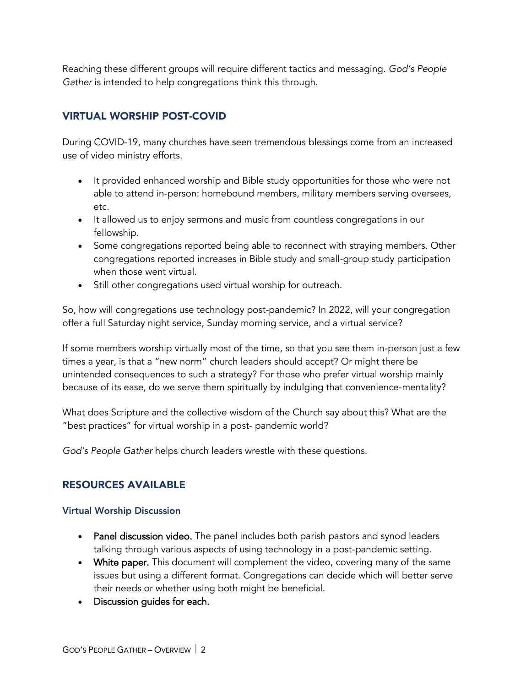Reaching these different groups will require different tactics and messaging. *God's People Gather* is intended to help congregations think this through.

# VIRTUAL WORSHIP POST-COVID

During COVID-19, many churches have seen tremendous blessings come from an increased use of video ministry efforts.

- It provided enhanced worship and Bible study opportunities for those who were not able to attend in-person: homebound members, military members serving oversees, etc.
- It allowed us to enjoy sermons and music from countless congregations in our fellowship.
- Some congregations reported being able to reconnect with straying members. Other congregations reported increases in Bible study and small-group study participation when those went virtual.
- Still other congregations used virtual worship for outreach.

So, how will congregations use technology post-pandemic? In 2022, will your congregation offer a full Saturday night service, Sunday morning service, and a virtual service?

If some members worship virtually most of the time, so that you see them in-person just a few times a year, is that a "new norm" church leaders should accept? Or might there be unintended consequences to such a strategy? For those who prefer virtual worship mainly because of its ease, do we serve them spiritually by indulging that convenience-mentality?

What does Scripture and the collective wisdom of the Church say about this? What are the "best practices" for virtual worship in a post- pandemic world?

*God's People Gather* helps church leaders wrestle with these questions.

## RESOURCES AVAILABLE

#### Virtual Worship Discussion

- Panel discussion video. The panel includes both parish pastors and synod leaders talking through various aspects of using technology in a post-pandemic setting.
- White paper. This document will complement the video, covering many of the same issues but using a different format. Congregations can decide which will better serve their needs or whether using both might be beneficial.
- Discussion guides for each.